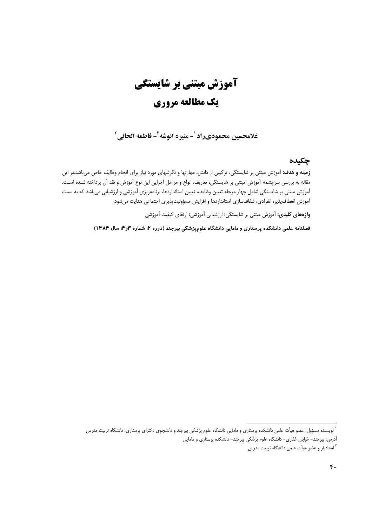# آموزش مبتنی بر شایستگی یک مطالعه مروری

## غلامحسين محموديراد ل- منيره انوشه ً- فاطمه الحاني ً

#### چکیده

**زمینه و هدف:** آموزش مبتنی بر شایستگی، ترکیبی از دانش، مهارتها و نگرشهای مورد نیاز برای انجام وظایف خاص میباشد.در این مقاله به بررسی سرچشمه آموزش مبتنی بر شایستگی، تعاریف، انواع و مراحل اجرایی این نوع آموزش و نقد آن پرداخته شـده اسـت. آموزش مبتنی بر شایستگی شامل چهار مرحله تعیین وظایف، تعیین استانداردها، برنامهریزی آموزشی و ارزشیابی میباشد که به سمت آموزش انعطافپذیر، انفرادی، شفافسازی استانداردها و افزایش مسؤولیتپذیری اجتماعی هدایت میشود.

واژههای کلیدی: آموزش مبتنی بر شایستگی؛ ارزشیابی آموزشی؛ ارتقای کیفیت آموزشی

فصلنامه علمی دانشکده پرستاری و مامایی دانشگاه علومپزشکی بیرجند (دوره ۲؛ شماره ۳و۴؛ سال ۱۳۸۴)

` نویسنده مسؤول؛ عضو هیأت علمی دانشکده پرستاری و مامایی دانشگاه علوم پزشکی بیرجند و دانشجوی دکترای پرستاری؛ دانشگاه تربیت مدرس آدرس: بیرجند– خیابان غفاری– دانشگاه علوم پزشکی بیرجند– دانشکده پرستاری و مامایی

<sup>&</sup>lt;sup>۲</sup> استادیار و عضو هیأت علمی دانشگاه تربیت مدرس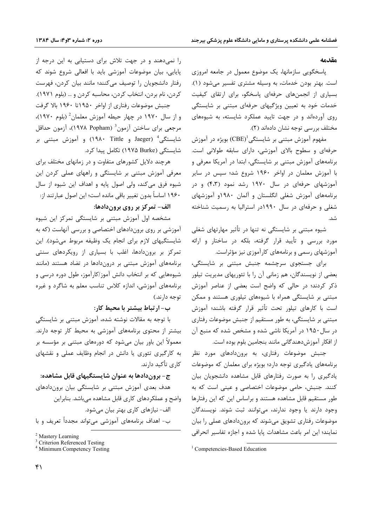#### مقدمه

پاسخگویی سازمانها، یک موضوع معمول در جامعه امروزی است. بهتر بودن خدمات، به وسیله مشتری تفسیر میشود (۱). بسیاری از انجمنهای حرفهای پاسخگو، برای ارتقای کیفیت خدمات خود به تعیین ویژگیهای حرفهای مبتنی بر شایستگی روی آوردهاند و در جهت تایید عملکرد شایسته، به شیوههای مختلف بررسی توجه نشان دادهاند (۲).

مفهوم آموزش مبتنی بر شایستگی $\mathrm{(CBE)}^{\mathrm{l}}$  بویژه در آموزش حرفهای و سطوح بالای آموزشی، دارای سابقه طولانی است. برنامههای آموزش مبتنی بر شایستگی، ابتدا در آمریکا معرفی و با آموزش معلمان در اواخر ۱۹۶۰ شروع شد؛ سپس در سایر آموزشهای حرفهای در سال ۱۹۷۰ رشد نمود (۴،۳) و در برنامههای آموزش شغلی انگلستان و آلمان ۱۹۸۰و آموزشهای شغلی و حرفهای در سال ۱۹۹۰در استرالیا به رسمیت شناخته شد.

شیوه مبتنی بر شایستگی نه تنها در تأثیر مهارتهای شغلی مورد بررسی و تأیید قرار گرفته، بلکه در ساختار و ارائه آموزشهای رسمی و برنامههای کارآموزی نیز مؤثراست.

برای جستجوی سرچشمه جنبش مبتنی بر شایستگی، بعضی از نویسندگان، هم زمانی آن را با تئوریهای مدیریت تیلور ذکر کردند؛ در حالی که واضح است بعضی از عناصر آموزش مبتنی بر شایستگی همراه با شیوههای تیلوری هستند و ممکن است با کارهای تیلور تحت تأثیر قرار گرفته باشند؛ آموزش مبتنی بر شایستگی، به طور مستقیم از جنبش موضوعات رفتاری در سال ۱۹۵۰ در آمریکا ناشی شده و مشخص شده که منبع آن از افكار آموزش دهندگانی مانند بنجامین بلوم بوده است.

جنبش موضوعات رفتاری، به بروندادهای مورد نظر برنامههای یادگیری توجه دارد؛ بویژه برای معلمان که موضوعات یادگیری را به صورت رفتارهای قابل مشاهده دانشجویان بیان کنند. جنبش، حامی موضوعات اختصاصی و عینی است که به طور مستقیم قابل مشاهده هستند و براساس این که این رفتارها وجود دارند يا وجود ندارند، مى توانند ثبت شوند. نويسندگان موضوعات رفتاری تشویق میشوند که بروندادهای عملی را بیان نمایند؛ این امر باعث مشاهدات پایا شده و اجازه تفاسیر انحرافی

را نمی دهند و در جهت تلاش برای دستیابی به این درجه از پایایی، بیان موضوعات آموزشی باید با افعالی شروع شوند که رفتار دانشجویان را توصیف میکنند؛ مانند بیان کردن، فهرست كردن، نام بردن، انتخاب كردن، محاسبه كردن و … (بلوم ١٩٧١). جنبش موضوعات رفتاري از اواخر ١٩۵٠تا ١٩۶٠ بالا گرفت

و از سال ۱۹۷۰ در چهار حیطه آموزش معلمان<sup>2</sup> (بلوم ۱۹۷۰)، مرجعی برای ساختن آزمون<sup>3</sup> (۱۹۷۸ Popham)، آزمون حداقل شایستگی<sup>4</sup> (Jaeger و ۱۹۸۰ Tittle) و آموزش مبتنی بر شایستگی (۱۹۷۵ Burke) تکامل پیدا کرد.

هرچند دلایل کشورهای متفاوت و در زمانهای مختلف برای معرفی آموزش مبتنی بر شایستگی و راههای عملی کردن این شیوه فرق میکند، ولی اصول پایه و اهداف این شیوه از سال ۱۹۶۰ اساساً بدون تغییر باقی مانده است؛ این اصول عبارتند از:

#### الف- تمركز بر روى بروندادها:

مشخصه اول آموزش مبتنی بر شایستگی تمرکز این شیوه آموزشی بر روی بروندادهای اختصاصی و بررسی آنهاست (که به شایستگیهای لازم برای انجام یک وظیفه مربوط میشود). این تمرکز بر بروندادها، اغلب با بسیاری از رویکردهای سنتی برنامههای آموزش مبتنی بر دروندادها در تضاد هستند (مانند شیوههایی که بر انتخاب دانش آموز/کارآموز، طول دوره درسی و برنامههای آموزشی، اندازه کلاس تناسب معلم به شاگرد و غیره توجه دارند.)

### ب- ارتباط بیشتر با محیط کار:

با توجه به مقالات نوشته شده، آموزش مبتنی بر شایستگی بیشتر از محتوی برنامههای آموزشی به محیط کار توجه دارند. معمولاً این باور بیان میشود که دورههای مبتنی بر مؤسسه بر به کارگیری تئوری یا دانش در انجام وظایف عملی و نقشهای کاری تأکید دارند.

ج- بروندادها به عنوان شایستگیهای قابل مشاهده: هدف بعدی آموزش مبتنی بر شایستگی بیان بروندادهای واضح و عملکردهای کاری قابل مشاهده می باشد. بنابراین الف- نیازهای کاری بهتر بیان میشود. ب– اهداف برنامههای آموزشی می تواند مجدداً تعریف و با

<sup>&</sup>lt;sup>1</sup> Competencies-Based Education

<sup>&</sup>lt;sup>2</sup> Mastery Learning

<sup>&</sup>lt;sup>3</sup> Criterion Referenced Testing

<sup>&</sup>lt;sup>4</sup> Minimum Competency Testing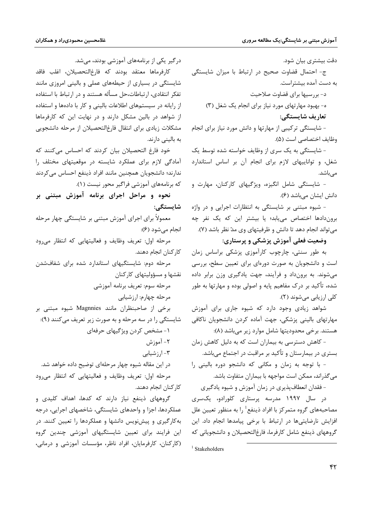دقت بیشتری بیان شود.

ج- احتمال قضاوت صحیح در ارتباط با میزان شایستگی به دست آمده بیشتراست.

د- بررسيها براي قضاوت صلاحيت

ه- بهبود مهارتهای مورد نیاز برای انجام یک شغل (۳)

تعاريف شايستگي:

- شایستگی ترکیبی از مهارتها و دانش مورد نیاز برای انجام وظايف اختصاصي است (۵).

- شایستگی به یک سری از وظایف خواسته شده توسط یک شغل، و تواناییهای لازم برای انجام آن بر اساس استاندارد مے باشد.

- شایستگی شامل انگیزه، ویژگیهای کارکنان، مهارت و دانش ایشان میباشد (۶).

- شیوه مبتنی بر شایستگی به انتظارات اجرایی و در واژه بروندادها اختصاص می یابد؛ یا بیشتر این که یک نفر چه می تواند انجام دهد تا دانش و ظرفیتهای وی مدّ نظر باشد (۷).

وضعیت فعلی آموزش پزشکی و پرستاری:

به طور سنتی، چارچوب کارآموزی پزشکی براساس زمان است و دانشجویان به صورت دورهای برای تعیین سطح، بررسی می شوند. به برونداد و فرآیند، جهت یادگیری وزن برابر داده شده، تأکید بر درک مفاهیم پایه و اصولی بوده و مهارتها به طور کلی ارزیابی میشوند (۲).

شواهد زیادی وجود دارد که شیوه جاری برای آموزش مهارتهای بالینی پزشکی، جهت آماده کردن دانشجویان ناکافی هستند. برخی محدودیتها شامل موارد زیر میباشد (۸):

- کاهش دسترسی به بیماران است که به دلیل کاهش زمان بستری در بیمارستان و تأکید بر مراقبت در اجتماع میباشد.

- با توجه به زمان و مكانى كه دانشجو دوره بالينى را می گذراند، ممکن است مواجهه با بیماران متفاوت باشد.

- فقدان انعطاف پذیری در زمان آموزش و شیوه یادگیری

در سال ۱۹۹۷ مدرسه پرستاری کلورادو، یکسری مصاحبههای گروه متمرکز با افراد ذینفع<sup>1</sup> را به منظور تعیین علل افزایش نارضایتی ها در ارتباط با برخی پیامدها انجام داد. این گروههای ذینفع شامل کارفرما، فارغالتحصیلان و دانشجویانی که

 $1$  Stakeholders

درگیر یکی از برنامههای آموزشی بودند، می شد.

كارفرماها معتقد بودند كه فارغ|لتحصيلان، اغلب فاقد شایستگی در بسیاری از حیطههای عملی و بالینی امروزی مانند تفكر انتقادى، ارتباطات،حل مسأله هستند و در ارتباط با استفاده از رایانه در سیستمهای اطلاعات بالینی و کار با دادهها و استفاده از شواهد در بالین مشکل دارند و در نهایت این که کارفرماها مشكلات زيادي براي انتقال فارغالتحصيلان از مرحله دانشجويي به بالینی دارند.

خود فارغ التحصیلان بیان کردند که احساس میکنند که آمادگی لازم برای عملکرد شایسته در موقعیتهای مختلف را ندارند؛ دانشجویان همچنین مانند افراد ذینفع احساس میکردند که برنامههای آموزشی فراگیر محور نیست (۱).

نحوه و مراحل اجرای برنامه آموزش مبتنی بر شايستگى:

معمولاً برای اجرای آموزش مبتنی بر شایستگی چهار مرحله انجام می شود (۶):

مرحله اول: تعریف وظایف و فعالیتهایی که انتظار میرود كاركنان انجام دهند.

مرحله دوم: شایستگیهای استاندارد شده برای شفافشدن نقشها و مسؤوليتهاى كاركنان

مرحله سوم: تعريف برنامه آموزشي

مرحله چهارم: ارزشیابی

برخی از صاحبنظران مانند Magnnies شیوه مبتنی بر شايستگي را در سه مرحله و به صورت زير تعريف مي كنند (٩):

۱- مشخص کردن ویژگیهای حرفهای

۲- آموز ش

۳- ارز شیابی

در این مقاله شیوه چهار مرحلهای توضیح داده خواهد شد.

مرحله اول: تعريف وظايف و فعاليتهايي كه انتظار مىرود كاركنان انجام دهند.

گروههای ذینفع نیاز دارند که کدها، اهداف کلیدی و عملکردها، اجزا و واحدهای شایستگی، شاخصهای اجرایی، درجه به کارگیری و پیش نویس دانشها و عملکردها را تعیین کنند. در این فرایند برای تعیین شایستگیهای آموزشی چندین گروه (کارکنان، کارفرمایان، افراد ناظر، مؤسسات آموزشی و درمانی،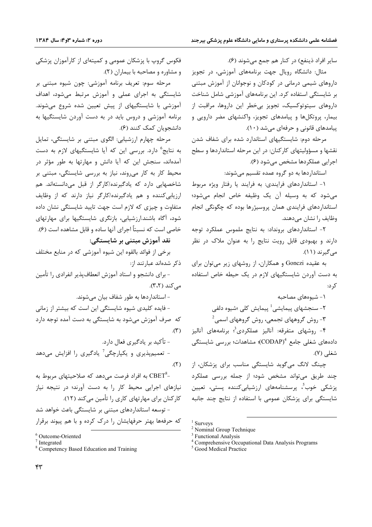سایر افراد ذینفع) در کنار هم جمع می شوند (۶).

مثال: دانشگاه روپال جهت برنامههای آموزشی، در تجویز داروهای شیمی درمانی در کودکان و نوجوانان از آموزش مبتنی بر شایستگی استفاده کرد. این برنامههای آموزشی شامل شناخت داروهای سیتوتوکسیک، تجویز بی خطر این داروها، مراقبت از بیمار، پروتکلها و پیامدهای تجویز، واکنشهای مضر دارویی و پیامدهای قانونی و حرفهای می شد (١٠).

مرحله دوم: شایستگیهای استاندارد شده برای شفاف شدن نقشها و مسؤولیتهای کارکنان: در این مرحله استانداردها و سطح اجرايي عملكردها مشخص مي شود (۶).

استانداردها به دو گروه عمده تقسیم میشوند:

۱- استانداردهای فرایندی: به فرایند یا رفتار ویژه مربوط مي شود كه به وسيله آن يک وظيفه خاص انجام مي شود؛ استانداردهای فرایندی همان پروسیژرها بوده که چگونگی انجام وظایف را نشان می دهند.

۲- استانداردهای برونداد: به نتایج ملموس عملکرد توجه دارند و بهبودی قابل رویت نتایج را به عنوان ملاک در نظر می گیرند (۱۱).

به عقیده Gonczi و همکاران، از روشهای زیر میتوان برای به دست آوردن شایستگیهای لازم در یک حیطه خاص استفاده کړ د:

۱ – شیوههای مصاحبه ۲- سنجشهای ییمایشی<sup>1</sup> پیمایش کلی ؛شیوه دلفی - روش گروههای تجمعی، روش گروههای اسمی $^2$ 

۴- روشهای متفرقه: آنالیز عملکردی $^5$  برنامههای آنالیز دادەھاي شغلى جامع  $\mathrm{(CDAP)}^{4}$ )؛ مشاھدات؛ بررسى شايستگى شغلی (۷).

چینگ لانگ میگوید شایستگی مناسب برای پزشکان، از چند طریق میتواند مشخص شود؛ از جمله بررسی عملکرد یزشکی خوب<sup>؟</sup>، پرسشنامههای ارزشیابی *ک*ننده پستی، تعیین شایستگی برای پزشکان عمومی با استفاده از نتایج چند جانبه

فکوس گروپ با پزشکان عمومی و کمیتهای از کارآموزان پزشکی و مشاوره و مصاحبه با بيماران (٢).

مرحله سوم: تعريف برنامه آموزشي: چون شيوه مبتنى بر شایستگی به اجرای عملی و آموزش مرتبط میشود، اهداف آموزشی با شایستگیهای از پیش تعیین شده شروع میشوند. برنامه آموزشی و دروس باید در به دست آوردن شایستگیها به دانشجویان کمک کنند (۶).

مرحله چهارم ارزشیابی: الگوی مبتنی بر شایستگی، تمایل به نتایج<sup>6</sup> دارد. بررسی این که آیا شایستگیهای لازم به دست آمدهاند، سنجش این که آیا دانش و مهارتها به طور مؤثر در محیط کار به کار میروند، نیاز به بررسی شایستگی، مبتنی بر شاخصهایی دارد که یادگیرنده/کارگر از قبل میدانستهاند. هم ارزیابی کننده و هم یادگیرنده/کارگر نیاز دارند که از وظایف متفاوت و چیزی که لازم است جهت تایید شایستگی نشان داده شود، آگاه باشند.ارزشیابی، بازنگری شایستگیها برای مهارتهای خاصی است که نسبتاً اجرای آنها ساده و قابل مشاهده است (۶).

نقد آموزش مبتنی بر شایستگی:

برخی از فوائد بالقوه این شیوه آموزشی که در منابع مختلف ذکر شدهاند عبارتند از:

– برای دانشجو و استاد آموزش انعطافپذیر انفرادی را تأمین می کند (۳،۲).

– استانداردها به طور شفاف بیان میشوند.

- فایده کلیدی شیوه شایستگی این است که بیشتر از زمانی که صرف آموزش می شود به شایستگی به دست آمده توجه دارد  $\mathcal{N}$ 

– تأکید بر پادگیری فعال دارد. - تعمیمیذیری و یکیارچگی<sup>7</sup> یادگیری را افزایش میدهد  $(7)$ .

به افراد فرصت میدهد که صلاحیتهای مربوط به CBET $^8\text{--}$ نیازهای اجرایی محیط کار را به دست آورند؛ در نتیجه نیاز کارکنان برای مهارتهای کاری را تأمین می کند (۱۲). - توسعه استانداردهای مبتنی بر شایستگی باعث خواهد شد که حرفهها بهتر حرفهایشان را درک کرده و با هم پیوند برقرار

 $1$  Surveys

<sup>&</sup>lt;sup>2</sup> Nominal Group Technique

**Functional Analysis** 

<sup>&</sup>lt;sup>4</sup> Comprehensive Occupational Data Analysis Programs

<sup>&</sup>lt;sup>5</sup> Good Medical Practice

<sup>&</sup>lt;sup>6</sup> Outcome-Oriented

 $7$  Integrated

<sup>&</sup>lt;sup>8</sup> Competency Based Education and Training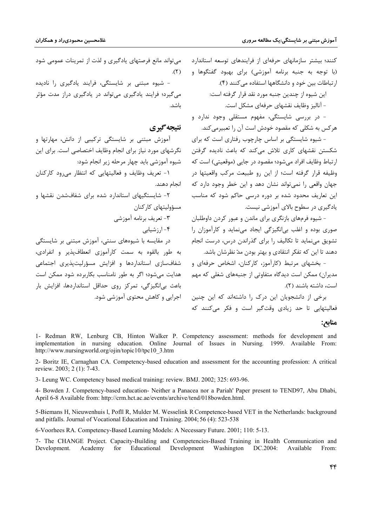کنند؛ بیشتر سازمانهای حرفهای از فرایندهای توسعه استاندارد (با توجه به جنبه برنامه آموزشی) برای بهبود گفتگوها و ارتباطات بین خود و دانشگاهها استفاده می کنند (۴).

این شیوه از چندین جنبه مورد نقد قرار گرفته است:

- آنالیز وظایف نقشهای حرفهای مشکل است.

- در بررسی شایستگی، مفهوم مستقلی وجود ندارد و هر کس به شکلی که مقصود خودش است آن ,ا تعبیرمی کند.

- شیوه شایستگی بر اساس چارچوب رفتاری است که برای شکستن نقشهای کاری تلاش می کند که باعث نادیده گرفتن ارتباط وظایف افراد می شود؛ مقصود در جایی (موقعیتی) است که وظیفه قرار گرفته است؛ از این رو طبیعت مرکب واقعیتها در جهان واقعی را نمی تواند نشان دهد و این خطر وجود دارد که این تعاریف محدود شده بر دوره درسی حاکم شود که مناسب یادگیری در سطوح بالای آموزشی نیست.

– شیوه فرمهای بازنگری برای ماندن و عبور کردن داوطلبان صوری بوده و اغلب بیانگیزگی ایجاد مینماید و کارآموزان ,ا تشویق می نماید تا تکالیف را برای گذراندن درس، درست انجام دهند تا این که تفکر انتقادی و بهتر بودن مدّ نظرشان باشد.

- بخشهای مرتبط (کارآموز، کارکنان، اشخاص حرفهای و مدیران) ممکن است دیدگاه متفاوتی از جنبههای شغلی که مهم است، داشته باشند (٢).

برخی از دانشجویان این درک را داشتهاند که این چنین فعالیتهایی تا حد زیادی وقتگیر است و فکر میکنند که

## می تواند مانع فرصتهای یادگیری و لذت از تمرینات عمومی شود  $(7)$ .

- شیوه مبتنی بر شایستگی، فرایند یادگیری را نادیده می گیرد؛ فرایند یادگیری می تواند در یادگیری دراز مدت مؤثر ىاشد.

## نتيجه گيري

آموزش مبتنی بر شایستگی ترکیبی از دانش، مهارتها و نگرشهای مورد نیاز برای انجام وظایف اختصاصی است. برای این شیوه آموزشی باید چهار مرحله زیر انجام شود:

۱- تعریف وظایف و فعالیتهایی که انتظار می ود کارکنان انجام دهند.

۲- شایستگیهای استاندارد شده برای شفافشدن نقشها و مسؤوليتهاى كاركنان

٣- تعريف برنامه أموزشي ۴- ارز شیابی

در مقایسه با شیوههای سنتی، آموزش مبتنی بر شایستگی به طور بالقوه به سمت كارآموزي انعطافپذير و انفرادي، شفافسازی استانداردها و افزایش مسؤرلیتپذیری اجتماعی هدایت می شود؛ اگر به طور نامناسب بکاربرده شود ممکن است باعث ہے انگیز گے، تمرکز روی حداقل استانداردھا، افزایش بار اجرایی و کاهش محتوی آموزشی شود.

#### منابع:

1- Redman RW, Lenburg CB, Hinton Walker P. Competency assessment: methods for development and implementation in nursing education. Online Journal of Issues in Nursing. 1999. Available From: http://www.nursingworld.org/ojin/topic10/tpc10 3.htm

2- Boritz IE, Carnaghan CA. Competency-based education and assessment for the accounting profession: A critical review, 2003; 2(1): 7-43.

3- Leung WC. Competency based medical training: review. BMJ. 2002; 325: 693-96.

4- Bowden J. Competency-based education- Neither a Panacea nor a Pariah' Paper present to TEND97, Abu Dhabi, April 6-8 Available from: http://crm.hct.ac.ae/events/archive/tend/018bowden.html.

5-Biemans H, Nieuwenhuis I, Pofll R, Mulder M. Wesselink R Competence-based VET in the Netherlands: background and pitfalls. Journal of Vocational Education and Training. 2004; 56 (4): 523-538

6-Voorhees RA. Competency-Based Learning Models: A Necessary Future. 2001; 110: 5-13.

7- The CHANGE Project. Capacity-Building and Competencies-Based Training in Health Communication and Development. Educational Development Washington Academy for DC.2004: Available From: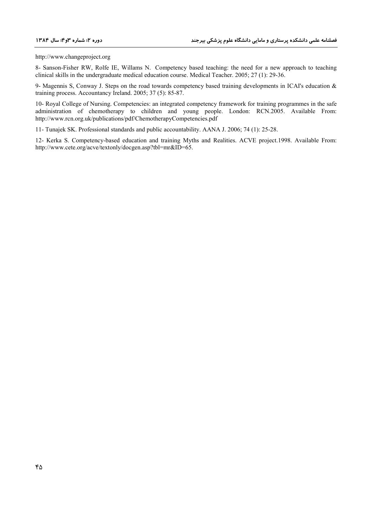http://www.changeproject.org

8- Sanson-Fisher RW, Rolfe IE, Willams N. Competency based teaching: the need for a new approach to teaching clinical skills in the undergraduate medical education course. Medical Teacher. 2005; 27 (1): 29-36.

9- Magennis S, Conway J. Steps on the road towards competency based training developments in ICAI's education & training process. Accountancy Ireland. 2005; 37 (5): 85-87.

10- Royal College of Nursing. Competencies: an integrated competency framework for training programmes in the safe administration of chemotherapy to children and young people. London: RCN.2005. Available From: http://www.rcn.org.uk/publications/pdf/ChemotherapyCompetencies.pdf

11- Tunajek SK. Professional standards and public accountability. AANA J. 2006; 74 (1): 25-28.

12- Kerka S. Competency-based education and training Myths and Realities. ACVE project.1998. Available From: http://www.cete.org/acve/textonly/docgen.asp?tbl=mr&ID=65.